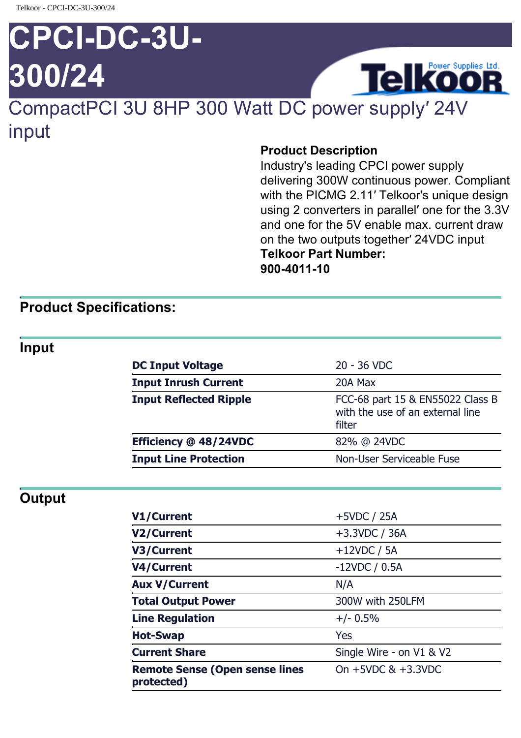# **CPCI-DC-3U-300/24**



# CompactPCI 3U 8HP 300 Watt DC power supply′ 24V input

#### **Product Description**

Industry's leading CPCI power supply delivering 300W continuous power. Compliant with the PICMG 2.11′ Telkoor's unique design using 2 converters in parallel′ one for the 3.3V and one for the 5V enable max. current draw on the two outputs together′ 24VDC input **Telkoor Part Number: 900-4011-10**

### **Product Specifications:**

#### **Input**

| <b>DC Input Voltage</b>       | 20 - 36 VDC                                                                    |
|-------------------------------|--------------------------------------------------------------------------------|
| <b>Input Inrush Current</b>   | 20A Max                                                                        |
| <b>Input Reflected Ripple</b> | FCC-68 part 15 & EN55022 Class B<br>with the use of an external line<br>filter |
| Efficiency @ 48/24VDC         | 82% @ 24VDC                                                                    |
| <b>Input Line Protection</b>  | Non-User Serviceable Fuse                                                      |
|                               |                                                                                |

## **Output**

| V1/Current                                          | $+5VDC / 25A$            |
|-----------------------------------------------------|--------------------------|
| V2/Current                                          | $+3.3$ VDC / 36A         |
| V3/Current                                          | $+12VDC / 5A$            |
| V4/Current                                          | $-12VDC / 0.5A$          |
| <b>Aux V/Current</b>                                | N/A                      |
| <b>Total Output Power</b>                           | 300W with 250LFM         |
| <b>Line Regulation</b>                              | $+/- 0.5%$               |
| <b>Hot-Swap</b>                                     | Yes                      |
| <b>Current Share</b>                                | Single Wire - on V1 & V2 |
| <b>Remote Sense (Open sense lines</b><br>protected) | On $+5VDC$ & $+3.3VDC$   |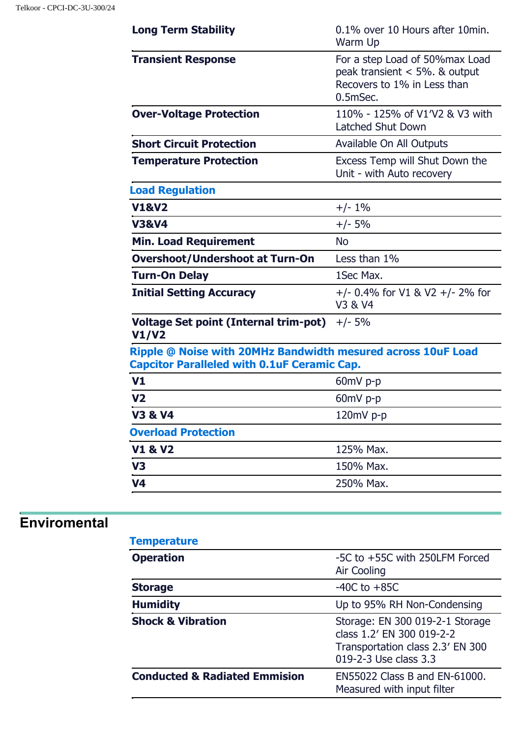| <b>Long Term Stability</b>                                                                                         | 0.1% over 10 Hours after 10 min.<br>Warm Up                                                                   |
|--------------------------------------------------------------------------------------------------------------------|---------------------------------------------------------------------------------------------------------------|
| <b>Transient Response</b>                                                                                          | For a step Load of 50% max Load<br>peak transient $<$ 5%. & output<br>Recovers to 1% in Less than<br>0.5mSec. |
| <b>Over-Voltage Protection</b>                                                                                     | 110% - 125% of V1'V2 & V3 with<br>Latched Shut Down                                                           |
| <b>Short Circuit Protection</b>                                                                                    | Available On All Outputs                                                                                      |
| <b>Temperature Protection</b>                                                                                      | Excess Temp will Shut Down the<br>Unit - with Auto recovery                                                   |
| <b>Load Regulation</b>                                                                                             |                                                                                                               |
| <b>V1&amp;V2</b>                                                                                                   | $+/- 1\%$                                                                                                     |
| <b>V3&amp;V4</b>                                                                                                   | $+/- 5%$                                                                                                      |
| <b>Min. Load Requirement</b>                                                                                       | <b>No</b>                                                                                                     |
| <b>Overshoot/Undershoot at Turn-On</b>                                                                             | Less than 1%                                                                                                  |
| <b>Turn-On Delay</b>                                                                                               | 1Sec Max.                                                                                                     |
| <b>Initial Setting Accuracy</b>                                                                                    | $+/- 0.4\%$ for V1 & V2 $+/- 2\%$ for<br>V3 & V4                                                              |
| <b>Voltage Set point (Internal trim-pot)</b><br>V1/V2                                                              | $+/- 5%$                                                                                                      |
| Ripple @ Noise with 20MHz Bandwidth mesured across 10uF Load<br><b>Capcitor Paralleled with 0.1uF Ceramic Cap.</b> |                                                                                                               |
| V <sub>1</sub>                                                                                                     | $60mV$ p-p                                                                                                    |
| V <sub>2</sub>                                                                                                     | 60mV p-p                                                                                                      |
| <b>V3 &amp; V4</b>                                                                                                 | 120mV p-p                                                                                                     |
| <b>Overload Protection</b>                                                                                         |                                                                                                               |
| <b>V1 &amp; V2</b>                                                                                                 | 125% Max.                                                                                                     |
| V <sub>3</sub>                                                                                                     | 150% Max.                                                                                                     |
| V <sub>4</sub>                                                                                                     | 250% Max.                                                                                                     |
|                                                                                                                    |                                                                                                               |

## **Enviromental**

| <b>Temperature</b>                       |                                                                                                                           |
|------------------------------------------|---------------------------------------------------------------------------------------------------------------------------|
| <b>Operation</b>                         | -5C to +55C with 250LFM Forced<br>Air Cooling                                                                             |
| <b>Storage</b>                           | $-40C$ to $+85C$                                                                                                          |
| <b>Humidity</b>                          | Up to 95% RH Non-Condensing                                                                                               |
| <b>Shock &amp; Vibration</b>             | Storage: EN 300 019-2-1 Storage<br>class 1.2' EN 300 019-2-2<br>Transportation class 2.3' EN 300<br>019-2-3 Use class 3.3 |
| <b>Conducted &amp; Radiated Emmision</b> | EN55022 Class B and EN-61000.<br>Measured with input filter                                                               |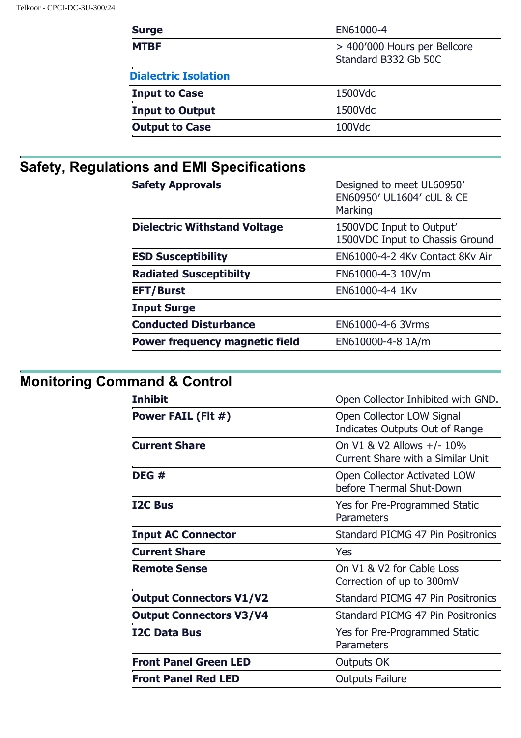| <b>Surge</b>                | EN61000-4                                            |
|-----------------------------|------------------------------------------------------|
| <b>MTBF</b>                 | > 400'000 Hours per Bellcore<br>Standard B332 Gb 50C |
| <b>Dialectric Isolation</b> |                                                      |
| <b>Input to Case</b>        | 1500Vdc                                              |
| <b>Input to Output</b>      | 1500Vdc                                              |
| <b>Output to Case</b>       | 100Vdc                                               |

# **Safety, Regulations and EMI Specifications**

| <b>Safety Approvals</b>               | Designed to meet UL60950'<br>EN60950' UL1604' cUL & CE<br>Marking |
|---------------------------------------|-------------------------------------------------------------------|
| <b>Dielectric Withstand Voltage</b>   | 1500VDC Input to Output'<br>1500VDC Input to Chassis Ground       |
| <b>ESD Susceptibility</b>             | EN61000-4-2 4Ky Contact 8Ky Air                                   |
| <b>Radiated Susceptibilty</b>         | EN61000-4-3 10V/m                                                 |
| <b>EFT/Burst</b>                      | EN61000-4-4 1Kv                                                   |
| <b>Input Surge</b>                    |                                                                   |
| <b>Conducted Disturbance</b>          | EN61000-4-6 3Vrms                                                 |
| <b>Power frequency magnetic field</b> | EN610000-4-8 1A/m                                                 |

# **Monitoring Command & Control**

| <b>Inhibit</b>                 | Open Collector Inhibited with GND.                             |
|--------------------------------|----------------------------------------------------------------|
| Power FAIL (FIt #)             | Open Collector LOW Signal<br>Indicates Outputs Out of Range    |
| <b>Current Share</b>           | On V1 & V2 Allows +/- 10%<br>Current Share with a Similar Unit |
| DEG #                          | Open Collector Activated LOW<br>before Thermal Shut-Down       |
| <b>I2C Bus</b>                 | Yes for Pre-Programmed Static<br>Parameters                    |
| <b>Input AC Connector</b>      | Standard PICMG 47 Pin Positronics                              |
| <b>Current Share</b>           | Yes                                                            |
| <b>Remote Sense</b>            | On V1 & V2 for Cable Loss<br>Correction of up to 300mV         |
| <b>Output Connectors V1/V2</b> | Standard PICMG 47 Pin Positronics                              |
| <b>Output Connectors V3/V4</b> | Standard PICMG 47 Pin Positronics                              |
| <b>I2C Data Bus</b>            | Yes for Pre-Programmed Static<br>Parameters                    |
| <b>Front Panel Green LED</b>   | Outputs OK                                                     |
| <b>Front Panel Red LED</b>     | <b>Outputs Failure</b>                                         |